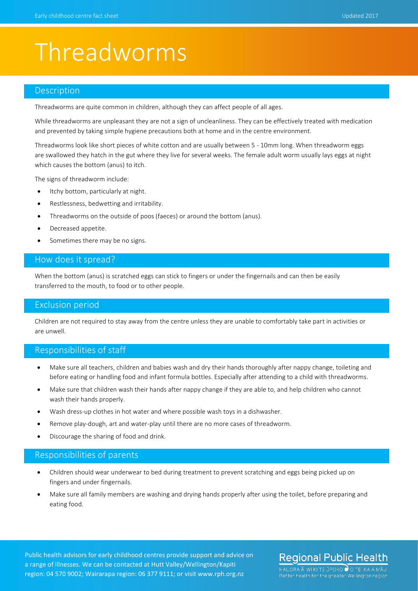## Threadworms

## **Description**

Threadworms are quite common in children, although they can affect people of all ages.

While threadworms are unpleasant they are not a sign of uncleanliness. They can be effectively treated with medication and prevented by taking simple hygiene precautions both at home and in the centre environment.

Threadworms look like short pieces of white cotton and are usually between 5 - 10mm long. When threadworm eggs are swallowed they hatch in the gut where they live for several weeks. The female adult worm usually lays eggs at night which causes the bottom (anus) to itch.

The signs of threadworm include:

- Itchy bottom, particularly at night.
- Restlessness, bedwetting and irritability.
- Threadworms on the outside of poos (faeces) or around the bottom (anus).
- Decreased appetite.
- Sometimes there may be no signs.

## How does it spread?

When the bottom (anus) is scratched eggs can stick to fingers or under the fingernails and can then be easily transferred to the mouth, to food or to other people.

#### Exclusion period

Children are not required to stay away from the centre unless they are unable to comfortably take part in activities or are unwell.

## Responsibilities of staff

- Make sure all teachers, children and babies wash and dry their hands thoroughly after nappy change, toileting and before eating or handling food and infant formula bottles. Especially after attending to a child with threadworms.
- Make sure that children wash their hands after nappy change if they are able to, and help children who cannot wash their hands properly.
- Wash dress-up clothes in hot water and where possible wash toys in a dishwasher.
- Remove play-dough, art and water-play until there are no more cases of threadworm.
- Discourage the sharing of food and drink.

### Responsibilities of parents

- Children should wear underwear to bed during treatment to prevent scratching and eggs being picked up on fingers and under fingernails.
- Make sure all family members are washing and drying hands properly after using the toilet, before preparing and eating food.

Public health advisors for early childhood centres provide support and advice on a range of illnesses. We can be contacted at Hutt Valley/Wellington/Kapiti region: 04 570 9002; Wairarapa region: 06 377 9111; or visit www.rph.org.nz

## **Regional Public Health**

HAUORA Ā IWI KI TE ŪPOKO ● O TE IKA A MĀUI Better health for the greater Wellington region